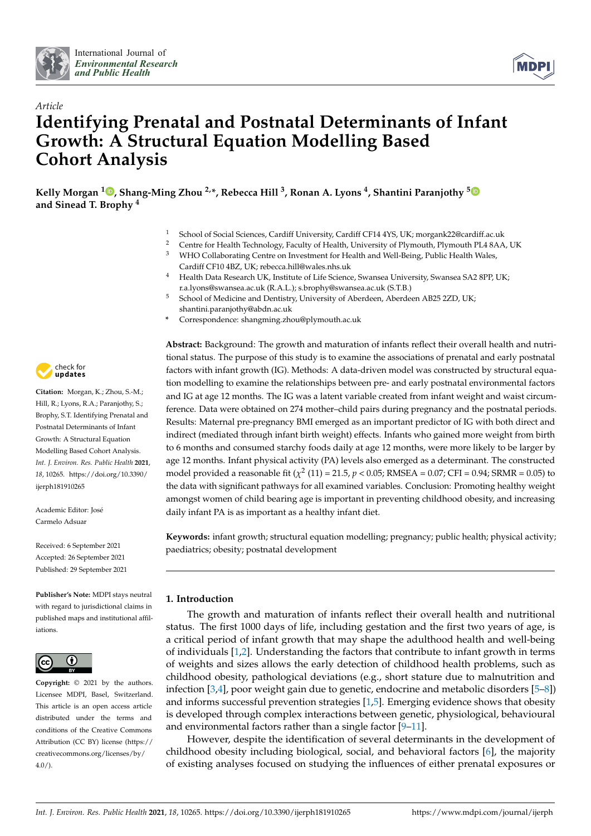



# *Article* **Identifying Prenatal and Postnatal Determinants of Infant Growth: A Structural Equation Modelling Based Cohort Analysis**

**Kelly Morgan <sup>1</sup> [,](https://orcid.org/0000-0002-8685-1177) Shang-Ming Zhou 2,\*, Rebecca Hill <sup>3</sup> , Ronan A. Lyons <sup>4</sup> , Shantini Paranjothy [5](https://orcid.org/0000-0002-0528-3121) and Sinead T. Brophy <sup>4</sup>**

- <sup>1</sup> School of Social Sciences, Cardiff University, Cardiff CF14 4YS, UK; morgank22@cardiff.ac.uk
- <sup>2</sup> Centre for Health Technology, Faculty of Health, University of Plymouth, Plymouth PL4 8AA, UK
- <sup>3</sup> WHO Collaborating Centre on Investment for Health and Well-Being, Public Health Wales, Cardiff CF10 4BZ, UK; rebecca.hill@wales.nhs.uk
- <sup>4</sup> Health Data Research UK, Institute of Life Science, Swansea University, Swansea SA2 8PP, UK; r.a.lyons@swansea.ac.uk (R.A.L.); s.brophy@swansea.ac.uk (S.T.B.)
- <sup>5</sup> School of Medicine and Dentistry, University of Aberdeen, Aberdeen AB25 2ZD, UK; shantini.paranjothy@abdn.ac.uk
- **\*** Correspondence: shangming.zhou@plymouth.ac.uk

**Abstract:** Background: The growth and maturation of infants reflect their overall health and nutritional status. The purpose of this study is to examine the associations of prenatal and early postnatal factors with infant growth (IG). Methods: A data-driven model was constructed by structural equation modelling to examine the relationships between pre- and early postnatal environmental factors and IG at age 12 months. The IG was a latent variable created from infant weight and waist circumference. Data were obtained on 274 mother–child pairs during pregnancy and the postnatal periods. Results: Maternal pre-pregnancy BMI emerged as an important predictor of IG with both direct and indirect (mediated through infant birth weight) effects. Infants who gained more weight from birth to 6 months and consumed starchy foods daily at age 12 months, were more likely to be larger by age 12 months. Infant physical activity (PA) levels also emerged as a determinant. The constructed model provided a reasonable fit ( $\chi^2$  (11) = 21.5, *p* < 0.05; RMSEA = 0.07; CFI = 0.94; SRMR = 0.05) to the data with significant pathways for all examined variables. Conclusion: Promoting healthy weight amongst women of child bearing age is important in preventing childhood obesity, and increasing daily infant PA is as important as a healthy infant diet.

**Keywords:** infant growth; structural equation modelling; pregnancy; public health; physical activity; paediatrics; obesity; postnatal development

## **1. Introduction**

The growth and maturation of infants reflect their overall health and nutritional status. The first 1000 days of life, including gestation and the first two years of age, is a critical period of infant growth that may shape the adulthood health and well-being of individuals [\[1,](#page-10-0)[2\]](#page-10-1). Understanding the factors that contribute to infant growth in terms of weights and sizes allows the early detection of childhood health problems, such as childhood obesity, pathological deviations (e.g., short stature due to malnutrition and infection [\[3,](#page-10-2)[4\]](#page-10-3), poor weight gain due to genetic, endocrine and metabolic disorders [\[5–](#page-10-4)[8\]](#page-10-5)) and informs successful prevention strategies [\[1](#page-10-0)[,5\]](#page-10-4). Emerging evidence shows that obesity is developed through complex interactions between genetic, physiological, behavioural and environmental factors rather than a single factor [\[9](#page-11-0)[–11\]](#page-11-1).

However, despite the identification of several determinants in the development of childhood obesity including biological, social, and behavioral factors [\[6\]](#page-10-6), the majority of existing analyses focused on studying the influences of either prenatal exposures or



**Citation:** Morgan, K.; Zhou, S.-M.; Hill, R.; Lyons, R.A.; Paranjothy, S.; Brophy, S.T. Identifying Prenatal and Postnatal Determinants of Infant Growth: A Structural Equation Modelling Based Cohort Analysis. *Int. J. Environ. Res. Public Health* **2021**, *18*, 10265. [https://doi.org/10.3390/](https://doi.org/10.3390/ijerph181910265) [ijerph181910265](https://doi.org/10.3390/ijerph181910265)

Academic Editor: José Carmelo Adsuar

Received: 6 September 2021 Accepted: 26 September 2021 Published: 29 September 2021

**Publisher's Note:** MDPI stays neutral with regard to jurisdictional claims in published maps and institutional affiliations.



**Copyright:** © 2021 by the authors. Licensee MDPI, Basel, Switzerland. This article is an open access article distributed under the terms and conditions of the Creative Commons Attribution (CC BY) license (https:/[/](https://creativecommons.org/licenses/by/4.0/) [creativecommons.org/licenses/by/](https://creativecommons.org/licenses/by/4.0/)  $4.0/$ ).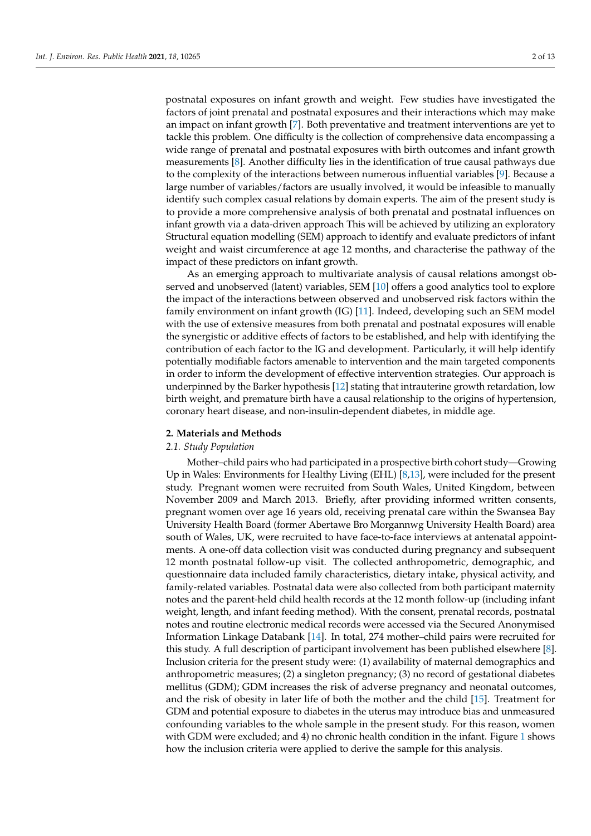postnatal exposures on infant growth and weight. Few studies have investigated the factors of joint prenatal and postnatal exposures and their interactions which may make an impact on infant growth [\[7\]](#page-10-7). Both preventative and treatment interventions are yet to tackle this problem. One difficulty is the collection of comprehensive data encompassing a wide range of prenatal and postnatal exposures with birth outcomes and infant growth measurements [\[8\]](#page-10-5). Another difficulty lies in the identification of true causal pathways due to the complexity of the interactions between numerous influential variables [\[9\]](#page-11-0). Because a large number of variables/factors are usually involved, it would be infeasible to manually identify such complex casual relations by domain experts. The aim of the present study is to provide a more comprehensive analysis of both prenatal and postnatal influences on infant growth via a data-driven approach This will be achieved by utilizing an exploratory Structural equation modelling (SEM) approach to identify and evaluate predictors of infant weight and waist circumference at age 12 months, and characterise the pathway of the impact of these predictors on infant growth.

As an emerging approach to multivariate analysis of causal relations amongst observed and unobserved (latent) variables, SEM [\[10\]](#page-11-2) offers a good analytics tool to explore the impact of the interactions between observed and unobserved risk factors within the family environment on infant growth (IG) [\[11\]](#page-11-1). Indeed, developing such an SEM model with the use of extensive measures from both prenatal and postnatal exposures will enable the synergistic or additive effects of factors to be established, and help with identifying the contribution of each factor to the IG and development. Particularly, it will help identify potentially modifiable factors amenable to intervention and the main targeted components in order to inform the development of effective intervention strategies. Our approach is underpinned by the Barker hypothesis [\[12\]](#page-11-3) stating that intrauterine growth retardation, low birth weight, and premature birth have a causal relationship to the origins of hypertension, coronary heart disease, and non-insulin-dependent diabetes, in middle age.

#### **2. Materials and Methods**

#### *2.1. Study Population*

Mother–child pairs who had participated in a prospective birth cohort study—Growing Up in Wales: Environments for Healthy Living (EHL) [\[8,](#page-10-5)[13\]](#page-11-4), were included for the present study. Pregnant women were recruited from South Wales, United Kingdom, between November 2009 and March 2013. Briefly, after providing informed written consents, pregnant women over age 16 years old, receiving prenatal care within the Swansea Bay University Health Board (former Abertawe Bro Morgannwg University Health Board) area south of Wales, UK, were recruited to have face-to-face interviews at antenatal appointments. A one-off data collection visit was conducted during pregnancy and subsequent 12 month postnatal follow-up visit. The collected anthropometric, demographic, and questionnaire data included family characteristics, dietary intake, physical activity, and family-related variables. Postnatal data were also collected from both participant maternity notes and the parent-held child health records at the 12 month follow-up (including infant weight, length, and infant feeding method). With the consent, prenatal records, postnatal notes and routine electronic medical records were accessed via the Secured Anonymised Information Linkage Databank [\[14\]](#page-11-5). In total, 274 mother–child pairs were recruited for this study. A full description of participant involvement has been published elsewhere [\[8\]](#page-10-5). Inclusion criteria for the present study were: (1) availability of maternal demographics and anthropometric measures; (2) a singleton pregnancy; (3) no record of gestational diabetes mellitus (GDM); GDM increases the risk of adverse pregnancy and neonatal outcomes, and the risk of obesity in later life of both the mother and the child [\[15\]](#page-11-6). Treatment for GDM and potential exposure to diabetes in the uterus may introduce bias and unmeasured confounding variables to the whole sample in the present study. For this reason, women with GDM were excluded; and 4) no chronic health condition in the infant. Figure [1](#page-2-0) shows how the inclusion criteria were applied to derive the sample for this analysis.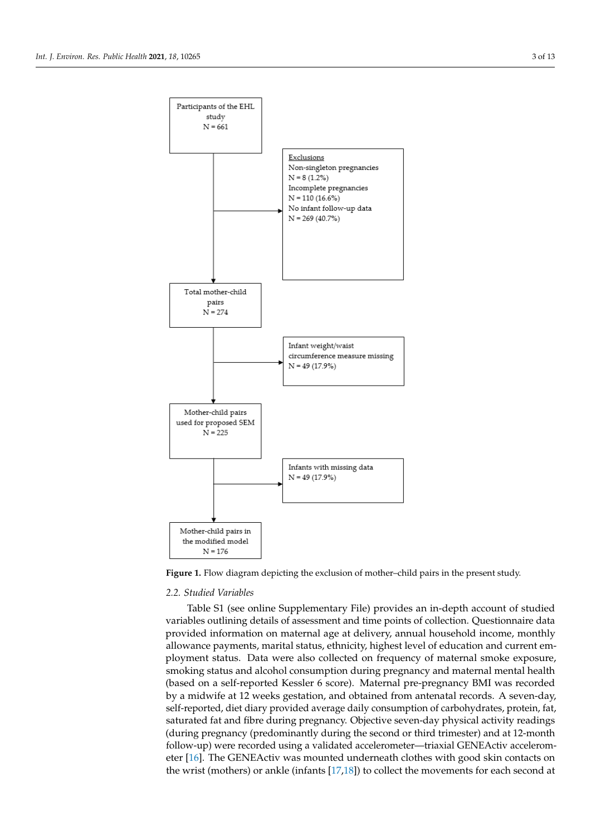<span id="page-2-0"></span>

**Figure 1.** Flow diagram depicting the exclusion of mother–child pairs in the present study**. Figure 1.** Flow diagram depicting the exclusion of mother–child pairs in the present study.

## *2.2. Studied Variables 2.2. Studied Variables*

Table S1 (see online Supplementary File) provides an in-depth account of studied  $\frac{1}{2}$ variables outlining details of assessment and time points of collection. Questionnaire data provided information on maternal age at delivery, annual household income, monthly provided information on maternal age at delivery, annual household income, monthly allowance payments, marital status, ethnicity, highest level of education and current em-ployment status. Data were also collected on frequency of maternal smoke exposure, ployment status. Data were also concerted on frequency of maternal smoke exposure, smoking status and alcohol consumption during pregnancy and maternal mental health smoking status and alcohol consumption during pregnancy and maternal mental health (based on a self-reported Kessler 6 score). Maternal pre-pregnancy BMI was recorded (based on a self-reported Kessler 6 score). Maternal pre-pregnancy BMI was recorded by by a midwife at 12 weeks gestation, and obtained from antenatal records. A seven-day, self-reported, diet diary provided average daily consumption of carbohydrates, protein, fat, variables outlining details of assessment and time points of collection. Questionnaire data allowance payments, marital status, ethnicity, highest level of education and current emsaturated fat and fibre during pregnancy. Objective seven-day physical activity readings (during pregnancy (predominantly during the second or third trimester) and at 12-month follow-up) were recorded using a validated accelerometer—triaxial GENEActiv accelerometer [\[16\]](#page-11-7). The GENEActiv was mounted underneath clothes with good skin contacts on the wrist (mothers) or ankle (infants [\[17](#page-11-8)[,18\]](#page-11-9)) to collect the movements for each second at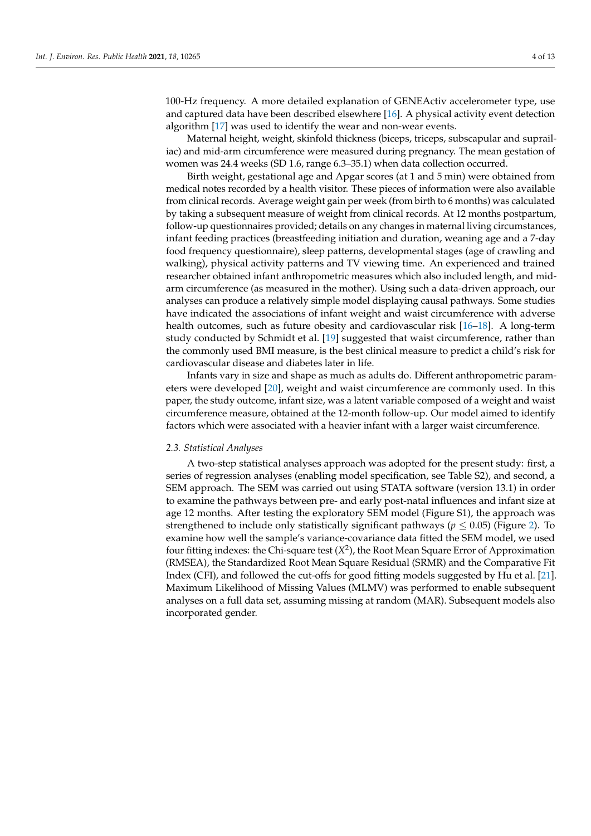100-Hz frequency. A more detailed explanation of GENEActiv accelerometer type, use and captured data have been described elsewhere [\[16\]](#page-11-7). A physical activity event detection algorithm [\[17\]](#page-11-8) was used to identify the wear and non-wear events.

Maternal height, weight, skinfold thickness (biceps, triceps, subscapular and suprailiac) and mid-arm circumference were measured during pregnancy. The mean gestation of women was 24.4 weeks (SD 1.6, range 6.3–35.1) when data collection occurred.

Birth weight, gestational age and Apgar scores (at 1 and 5 min) were obtained from medical notes recorded by a health visitor. These pieces of information were also available from clinical records. Average weight gain per week (from birth to 6 months) was calculated by taking a subsequent measure of weight from clinical records. At 12 months postpartum, follow-up questionnaires provided; details on any changes in maternal living circumstances, infant feeding practices (breastfeeding initiation and duration, weaning age and a 7-day food frequency questionnaire), sleep patterns, developmental stages (age of crawling and walking), physical activity patterns and TV viewing time. An experienced and trained researcher obtained infant anthropometric measures which also included length, and midarm circumference (as measured in the mother). Using such a data-driven approach, our analyses can produce a relatively simple model displaying causal pathways. Some studies have indicated the associations of infant weight and waist circumference with adverse health outcomes, such as future obesity and cardiovascular risk [\[16](#page-11-7)[–18\]](#page-11-9). A long-term study conducted by Schmidt et al. [\[19\]](#page-11-10) suggested that waist circumference, rather than the commonly used BMI measure, is the best clinical measure to predict a child's risk for cardiovascular disease and diabetes later in life.

Infants vary in size and shape as much as adults do. Different anthropometric parameters were developed [\[20\]](#page-11-11), weight and waist circumference are commonly used. In this paper, the study outcome, infant size, was a latent variable composed of a weight and waist circumference measure, obtained at the 12-month follow-up. Our model aimed to identify factors which were associated with a heavier infant with a larger waist circumference.

#### *2.3. Statistical Analyses*

A two-step statistical analyses approach was adopted for the present study: first, a series of regression analyses (enabling model specification, see Table S2), and second, a SEM approach. The SEM was carried out using STATA software (version 13.1) in order to examine the pathways between pre- and early post-natal influences and infant size at age 12 months. After testing the exploratory SEM model (Figure S1), the approach was strengthened to include only statistically significant pathways ( $p \leq 0.05$ ) (Figure [2\)](#page-4-0). To examine how well the sample's variance-covariance data fitted the SEM model, we used four fitting indexes: the Chi-square test (*X* 2 ), the Root Mean Square Error of Approximation (RMSEA), the Standardized Root Mean Square Residual (SRMR) and the Comparative Fit Index (CFI), and followed the cut-offs for good fitting models suggested by Hu et al. [\[21\]](#page-11-12). Maximum Likelihood of Missing Values (MLMV) was performed to enable subsequent analyses on a full data set, assuming missing at random (MAR). Subsequent models also incorporated gender.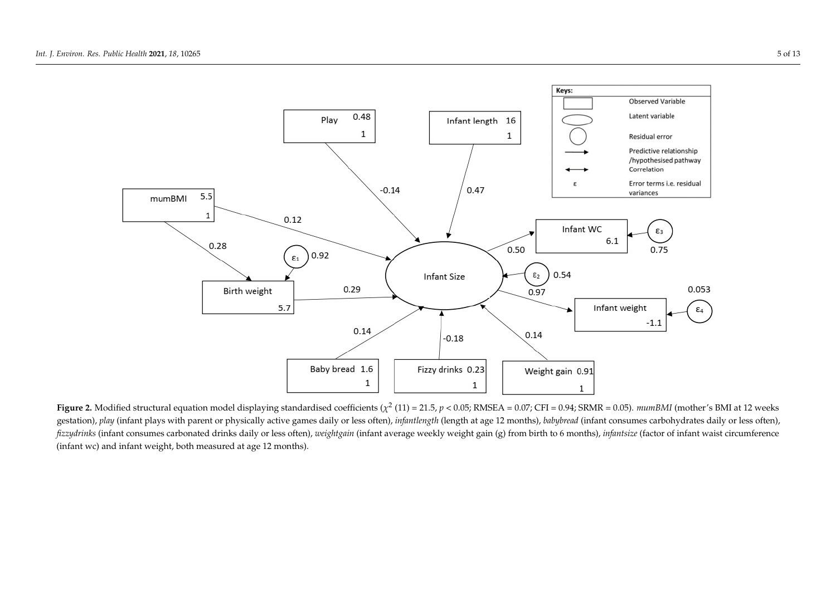

<span id="page-4-0"></span>Figure 2. Modified structural equation model displaying standardised coefficients ( $\chi^2$  (11) = 21.5,  $p$  < 0.05; RMSEA = 0.07; CFI = 0.94; SRMR = 0.05). mumBMI (mother's BMI at 12 weeks gestation), play (infant plays with parent or physically active games daily or less often), infantlength (length at age 12 months), babybread (infant consumes carbohydrates daily or less often), fizzydrinks (infant consumes carbonated drinks daily or less often), weightgain (infant average weekly weight gain (g) from birth to 6 months), infantsize (factor of infant waist circumference (infant wc) and infant weight, both measured at age 12 months).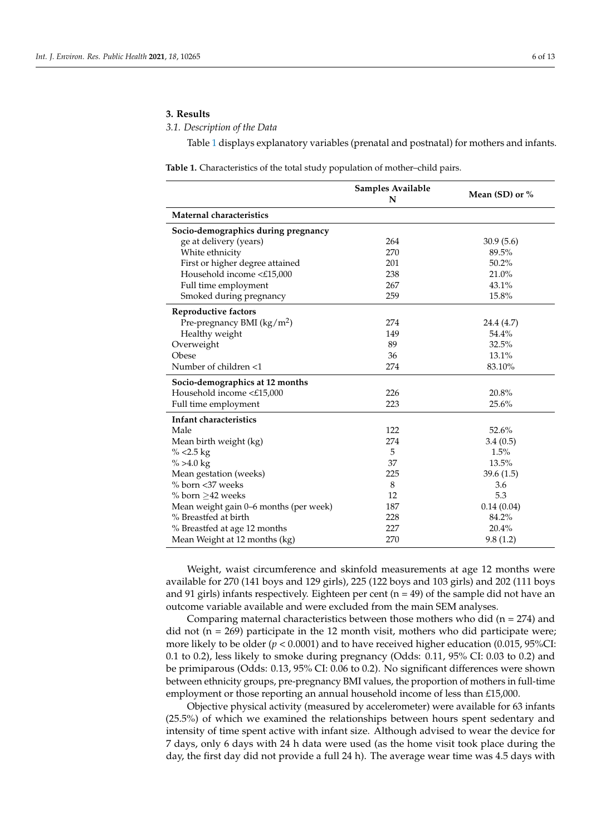#### **3. Results**

*3.1. Description of the Data*

Table [1](#page-5-0) displays explanatory variables (prenatal and postnatal) for mothers and infants.

<span id="page-5-0"></span>**Table 1.** Characteristics of the total study population of mother–child pairs.

|                                        | Samples Available<br>N | Mean (SD) or $%$ |
|----------------------------------------|------------------------|------------------|
| <b>Maternal characteristics</b>        |                        |                  |
| Socio-demographics during pregnancy    |                        |                  |
| ge at delivery (years)                 | 264                    | 30.9(5.6)        |
| White ethnicity                        | 270                    | 89.5%            |
| First or higher degree attained        | 201                    | 50.2%            |
| Household income <£15,000              | 238                    | 21.0%            |
| Full time employment                   | 267                    | 43.1%            |
| Smoked during pregnancy                | 259                    | 15.8%            |
| Reproductive factors                   |                        |                  |
| Pre-pregnancy BMI $(kg/m2)$            | 274                    | 24.4 (4.7)       |
| Healthy weight                         | 149                    | 54.4%            |
| Overweight                             | 89                     | 32.5%            |
| Obese                                  | 36                     | 13.1%            |
| Number of children <1                  | 274                    | 83.10%           |
| Socio-demographics at 12 months        |                        |                  |
| Household income <£15,000              | 226                    | 20.8%            |
| Full time employment                   | 223                    | 25.6%            |
| Infant characteristics                 |                        |                  |
| Male                                   | 122                    | 52.6%            |
| Mean birth weight (kg)                 | 274                    | 3.4(0.5)         |
| % $<$ 2.5 kg                           | 5                      | 1.5%             |
| $\% > 4.0$ kg                          | 37                     | 13.5%            |
| Mean gestation (weeks)                 | 225                    | 39.6(1.5)        |
| % born <37 weeks                       | 8                      | 3.6              |
| $%$ born $>42$ weeks                   | 12                     | 5.3              |
| Mean weight gain 0-6 months (per week) | 187                    | 0.14(0.04)       |
| % Breastfed at birth                   | 228                    | 84.2%            |
| % Breastfed at age 12 months           | 227                    | 20.4%            |
| Mean Weight at 12 months (kg)          | 270                    | 9.8(1.2)         |

Weight, waist circumference and skinfold measurements at age 12 months were available for 270 (141 boys and 129 girls), 225 (122 boys and 103 girls) and 202 (111 boys and 91 girls) infants respectively. Eighteen per cent ( $n = 49$ ) of the sample did not have an outcome variable available and were excluded from the main SEM analyses.

Comparing maternal characteristics between those mothers who did ( $n = 274$ ) and did not ( $n = 269$ ) participate in the 12 month visit, mothers who did participate were; more likely to be older ( $p < 0.0001$ ) and to have received higher education (0.015, 95%CI: 0.1 to 0.2), less likely to smoke during pregnancy (Odds: 0.11, 95% CI: 0.03 to 0.2) and be primiparous (Odds: 0.13, 95% CI: 0.06 to 0.2). No significant differences were shown between ethnicity groups, pre-pregnancy BMI values, the proportion of mothers in full-time employment or those reporting an annual household income of less than £15,000.

Objective physical activity (measured by accelerometer) were available for 63 infants (25.5%) of which we examined the relationships between hours spent sedentary and intensity of time spent active with infant size. Although advised to wear the device for 7 days, only 6 days with 24 h data were used (as the home visit took place during the day, the first day did not provide a full 24 h). The average wear time was 4.5 days with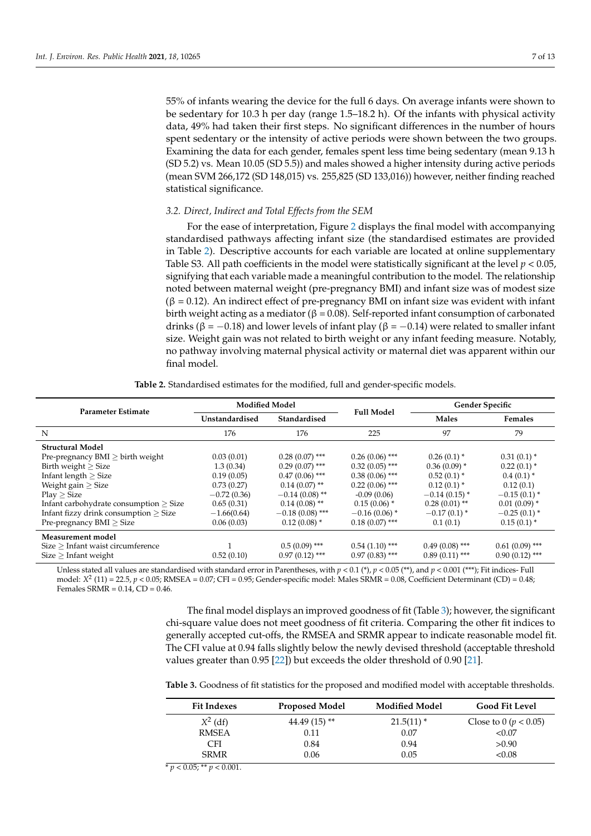55% of infants wearing the device for the full 6 days. On average infants were shown to be sedentary for 10.3 h per day (range 1.5–18.2 h). Of the infants with physical activity data, 49% had taken their first steps. No significant differences in the number of hours spent sedentary or the intensity of active periods were shown between the two groups. Examining the data for each gender, females spent less time being sedentary (mean 9.13 h (SD 5.2) vs. Mean 10.05 (SD 5.5)) and males showed a higher intensity during active periods (mean SVM 266,172 (SD 148,015) vs. 255,825 (SD 133,016)) however, neither finding reached statistical significance.

#### *3.2. Direct, Indirect and Total Effects from the SEM*

For the ease of interpretation, Figure [2](#page-4-0) displays the final model with accompanying standardised pathways affecting infant size (the standardised estimates are provided in Table [2\)](#page-6-0). Descriptive accounts for each variable are located at online supplementary Table S3. All path coefficients in the model were statistically significant at the level *p* < 0.05, signifying that each variable made a meaningful contribution to the model. The relationship noted between maternal weight (pre-pregnancy BMI) and infant size was of modest size  $(β = 0.12)$ . An indirect effect of pre-pregnancy BMI on infant size was evident with infant birth weight acting as a mediator ( $\beta = 0.08$ ). Self-reported infant consumption of carbonated drinks (β = −0.18) and lower levels of infant play (β = −0.14) were related to smaller infant size. Weight gain was not related to birth weight or any infant feeding measure. Notably, no pathway involving maternal physical activity or maternal diet was apparent within our final model.

<span id="page-6-0"></span>

| Parameter Estimate                                                                                                                            | <b>Modified Model</b> |                   | <b>Full Model</b> | <b>Gender Specific</b> |                  |
|-----------------------------------------------------------------------------------------------------------------------------------------------|-----------------------|-------------------|-------------------|------------------------|------------------|
|                                                                                                                                               | Unstandardised        | Standardised      |                   | <b>Males</b>           | <b>Females</b>   |
| N                                                                                                                                             | 176                   | 176               | 225               | 97                     | 79               |
| <b>Structural Model</b>                                                                                                                       |                       |                   |                   |                        |                  |
| Pre-pregnancy $BMI \geq birth$ weight                                                                                                         | 0.03(0.01)            | $0.28(0.07)$ ***  | $0.26(0.06)$ ***  | $0.26(0.1)$ *          | $0.31(0.1)$ *    |
| Birth weight $>$ Size<br>Infant length $>$ Size<br>Weight gain $\geq$ Size<br>$Play \geq Size$<br>Infant carbohydrate consumption $\geq$ Size | 1.3(0.34)             | $0.29(0.07)$ ***  | $0.32(0.05)$ ***  | $0.36(0.09)$ *         | $0.22(0.1)$ *    |
|                                                                                                                                               | 0.19(0.05)            | $0.47(0.06)$ ***  | $0.38(0.06)$ ***  | $0.52(0.1)$ *          | $0.4(0.1)$ *     |
|                                                                                                                                               | 0.73(0.27)            | $0.14(0.07)$ **   | $0.22(0.06)$ ***  | $0.12(0.1)$ *          | 0.12(0.1)        |
|                                                                                                                                               | $-0.72(0.36)$         | $-0.14(0.08)$ **  | $-0.09(0.06)$     | $-0.14(0.15)$ *        | $-0.15(0.1)$ *   |
|                                                                                                                                               | 0.65(0.31)            | $0.14(0.08)$ **   | $0.15(0.06)$ *    | $0.28(0.01)$ **        | $0.01(0.09)$ *   |
| Infant fizzy drink consumption $>$ Size                                                                                                       | $-1.66(0.64)$         | $-0.18(0.08)$ *** | $-0.16(0.06)$ *   | $-0.17(0.1)$ *         | $-0.25(0.1)$ *   |
| Pre-pregnancy $BMI \geq Size$                                                                                                                 | 0.06(0.03)            | $0.12(0.08)$ *    | $0.18(0.07)$ ***  | 0.1(0.1)               | $0.15(0.1)$ *    |
| Measurement model                                                                                                                             |                       |                   |                   |                        |                  |
| Size > Infant waist circumference                                                                                                             |                       | $0.5(0.09)$ ***   | $0.54(1.10)$ ***  | $0.49(0.08)$ ***       | $0.61(0.09)$ *** |
| $Size$ > Infant weight                                                                                                                        | 0.52(0.10)            | $0.97(0.12)$ ***  | $0.97(0.83)$ ***  | $0.89(0.11)$ ***       | $0.90(0.12)$ *** |

Unless stated all values are standardised with standard error in Parentheses, with  $p < 0.1$  (\*),  $p < 0.05$  (\*\*), and  $p < 0.001$  (\*\*\*); Fit indices- Full model: *X* 2 (11) = 22.5, *p* < 0.05; RMSEA = 0.07; CFI = 0.95; Gender-specific model: Males SRMR = 0.08, Coefficient Determinant (CD) = 0.48; Females SRMR = 0.14, CD = 0.46.

> The final model displays an improved goodness of fit (Table [3\)](#page-6-1); however, the significant chi-square value does not meet goodness of fit criteria. Comparing the other fit indices to generally accepted cut-offs, the RMSEA and SRMR appear to indicate reasonable model fit. The CFI value at 0.94 falls slightly below the newly devised threshold (acceptable threshold values greater than 0.95 [\[22\]](#page-11-13)) but exceeds the older threshold of 0.90 [\[21\]](#page-11-12).

> <span id="page-6-1"></span>**Table 3.** Goodness of fit statistics for the proposed and modified model with acceptable thresholds.

| <b>Fit Indexes</b> | <b>Proposed Model</b> | <b>Modified Model</b> | <b>Good Fit Level</b>     |
|--------------------|-----------------------|-----------------------|---------------------------|
| $X^2$ (df)         | $44.49(15)$ **        | $21.5(11)$ *          | Close to 0 ( $p < 0.05$ ) |
| <b>RMSEA</b>       | 0.11                  | 0.07                  | < 0.07                    |
| <b>CFI</b>         | 0.84                  | 0.94                  | >0.90                     |
| <b>SRMR</b>        | 0.06                  | 0.05                  | < 0.08                    |
|                    |                       |                       |                           |

 $\overline{\gamma}$  *p* < 0.05; \*\* *p* < 0.001.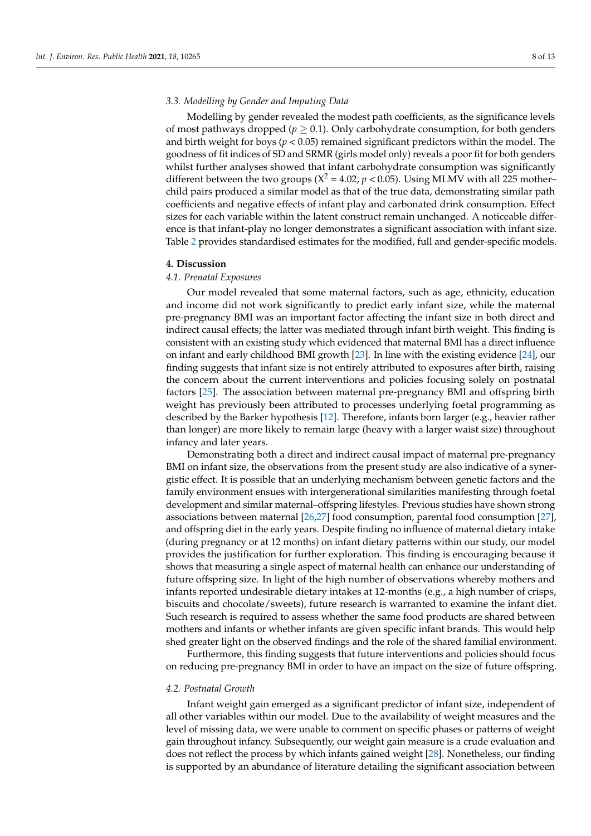#### *3.3. Modelling by Gender and Imputing Data*

Modelling by gender revealed the modest path coefficients, as the significance levels of most pathways dropped ( $p \geq 0.1$ ). Only carbohydrate consumption, for both genders and birth weight for boys (*p* < 0.05) remained significant predictors within the model. The goodness of fit indices of SD and SRMR (girls model only) reveals a poor fit for both genders whilst further analyses showed that infant carbohydrate consumption was significantly different between the two groups ( $X^2 = 4.02$ ,  $p < 0.05$ ). Using MLMV with all 225 motherchild pairs produced a similar model as that of the true data, demonstrating similar path coefficients and negative effects of infant play and carbonated drink consumption. Effect sizes for each variable within the latent construct remain unchanged. A noticeable difference is that infant-play no longer demonstrates a significant association with infant size. Table [2](#page-6-0) provides standardised estimates for the modified, full and gender-specific models.

#### **4. Discussion**

### *4.1. Prenatal Exposures*

Our model revealed that some maternal factors, such as age, ethnicity, education and income did not work significantly to predict early infant size, while the maternal pre-pregnancy BMI was an important factor affecting the infant size in both direct and indirect causal effects; the latter was mediated through infant birth weight. This finding is consistent with an existing study which evidenced that maternal BMI has a direct influence on infant and early childhood BMI growth [\[23\]](#page-11-14). In line with the existing evidence [\[24\]](#page-11-15), our finding suggests that infant size is not entirely attributed to exposures after birth, raising the concern about the current interventions and policies focusing solely on postnatal factors [\[25\]](#page-11-16). The association between maternal pre-pregnancy BMI and offspring birth weight has previously been attributed to processes underlying foetal programming as described by the Barker hypothesis [\[12\]](#page-11-3). Therefore, infants born larger (e.g., heavier rather than longer) are more likely to remain large (heavy with a larger waist size) throughout infancy and later years.

Demonstrating both a direct and indirect causal impact of maternal pre-pregnancy BMI on infant size, the observations from the present study are also indicative of a synergistic effect. It is possible that an underlying mechanism between genetic factors and the family environment ensues with intergenerational similarities manifesting through foetal development and similar maternal–offspring lifestyles. Previous studies have shown strong associations between maternal [\[26](#page-11-17)[,27\]](#page-11-18) food consumption, parental food consumption [\[27\]](#page-11-18), and offspring diet in the early years. Despite finding no influence of maternal dietary intake (during pregnancy or at 12 months) on infant dietary patterns within our study, our model provides the justification for further exploration. This finding is encouraging because it shows that measuring a single aspect of maternal health can enhance our understanding of future offspring size. In light of the high number of observations whereby mothers and infants reported undesirable dietary intakes at 12-months (e.g., a high number of crisps, biscuits and chocolate/sweets), future research is warranted to examine the infant diet. Such research is required to assess whether the same food products are shared between mothers and infants or whether infants are given specific infant brands. This would help shed greater light on the observed findings and the role of the shared familial environment.

Furthermore, this finding suggests that future interventions and policies should focus on reducing pre-pregnancy BMI in order to have an impact on the size of future offspring.

#### *4.2. Postnatal Growth*

Infant weight gain emerged as a significant predictor of infant size, independent of all other variables within our model. Due to the availability of weight measures and the level of missing data, we were unable to comment on specific phases or patterns of weight gain throughout infancy. Subsequently, our weight gain measure is a crude evaluation and does not reflect the process by which infants gained weight [\[28\]](#page-11-19). Nonetheless, our finding is supported by an abundance of literature detailing the significant association between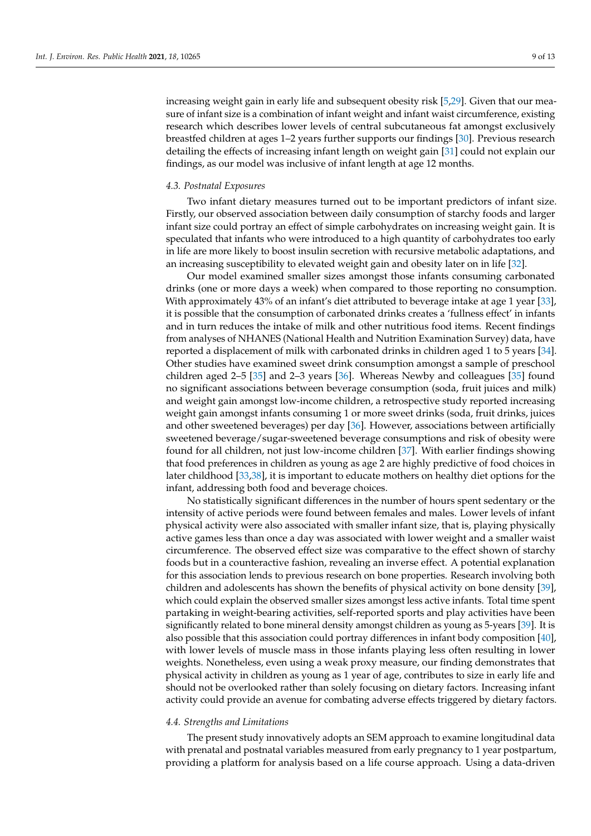increasing weight gain in early life and subsequent obesity risk [\[5](#page-10-4)[,29\]](#page-11-20). Given that our measure of infant size is a combination of infant weight and infant waist circumference, existing research which describes lower levels of central subcutaneous fat amongst exclusively breastfed children at ages 1–2 years further supports our findings [\[30\]](#page-11-21). Previous research detailing the effects of increasing infant length on weight gain [\[31\]](#page-11-22) could not explain our findings, as our model was inclusive of infant length at age 12 months.

#### *4.3. Postnatal Exposures*

Two infant dietary measures turned out to be important predictors of infant size. Firstly, our observed association between daily consumption of starchy foods and larger infant size could portray an effect of simple carbohydrates on increasing weight gain. It is speculated that infants who were introduced to a high quantity of carbohydrates too early in life are more likely to boost insulin secretion with recursive metabolic adaptations, and an increasing susceptibility to elevated weight gain and obesity later on in life [\[32\]](#page-11-23).

Our model examined smaller sizes amongst those infants consuming carbonated drinks (one or more days a week) when compared to those reporting no consumption. With approximately 43% of an infant's diet attributed to beverage intake at age 1 year [\[33\]](#page-11-24), it is possible that the consumption of carbonated drinks creates a 'fullness effect' in infants and in turn reduces the intake of milk and other nutritious food items. Recent findings from analyses of NHANES (National Health and Nutrition Examination Survey) data, have reported a displacement of milk with carbonated drinks in children aged 1 to 5 years [\[34\]](#page-11-25). Other studies have examined sweet drink consumption amongst a sample of preschool children aged 2–5 [\[35\]](#page-11-26) and 2–3 years [\[36\]](#page-12-0). Whereas Newby and colleagues [\[35\]](#page-11-26) found no significant associations between beverage consumption (soda, fruit juices and milk) and weight gain amongst low-income children, a retrospective study reported increasing weight gain amongst infants consuming 1 or more sweet drinks (soda, fruit drinks, juices and other sweetened beverages) per day [\[36\]](#page-12-0). However, associations between artificially sweetened beverage/sugar-sweetened beverage consumptions and risk of obesity were found for all children, not just low-income children [\[37\]](#page-12-1). With earlier findings showing that food preferences in children as young as age 2 are highly predictive of food choices in later childhood [\[33](#page-11-24)[,38\]](#page-12-2), it is important to educate mothers on healthy diet options for the infant, addressing both food and beverage choices.

No statistically significant differences in the number of hours spent sedentary or the intensity of active periods were found between females and males. Lower levels of infant physical activity were also associated with smaller infant size, that is, playing physically active games less than once a day was associated with lower weight and a smaller waist circumference. The observed effect size was comparative to the effect shown of starchy foods but in a counteractive fashion, revealing an inverse effect. A potential explanation for this association lends to previous research on bone properties. Research involving both children and adolescents has shown the benefits of physical activity on bone density [\[39\]](#page-12-3), which could explain the observed smaller sizes amongst less active infants. Total time spent partaking in weight-bearing activities, self-reported sports and play activities have been significantly related to bone mineral density amongst children as young as 5-years [\[39\]](#page-12-3). It is also possible that this association could portray differences in infant body composition [\[40\]](#page-12-4), with lower levels of muscle mass in those infants playing less often resulting in lower weights. Nonetheless, even using a weak proxy measure, our finding demonstrates that physical activity in children as young as 1 year of age, contributes to size in early life and should not be overlooked rather than solely focusing on dietary factors. Increasing infant activity could provide an avenue for combating adverse effects triggered by dietary factors.

#### *4.4. Strengths and Limitations*

The present study innovatively adopts an SEM approach to examine longitudinal data with prenatal and postnatal variables measured from early pregnancy to 1 year postpartum, providing a platform for analysis based on a life course approach. Using a data-driven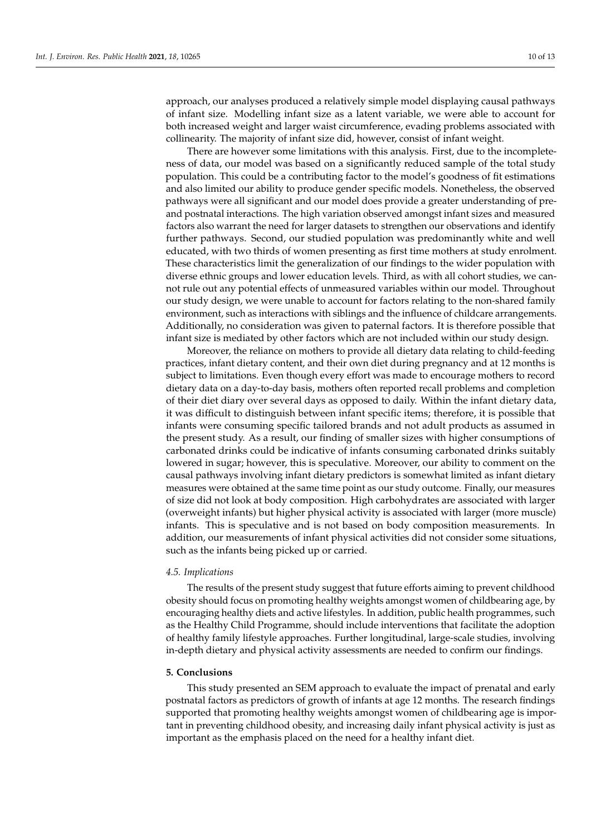approach, our analyses produced a relatively simple model displaying causal pathways of infant size. Modelling infant size as a latent variable, we were able to account for both increased weight and larger waist circumference, evading problems associated with collinearity. The majority of infant size did, however, consist of infant weight.

There are however some limitations with this analysis. First, due to the incompleteness of data, our model was based on a significantly reduced sample of the total study population. This could be a contributing factor to the model's goodness of fit estimations and also limited our ability to produce gender specific models. Nonetheless, the observed pathways were all significant and our model does provide a greater understanding of preand postnatal interactions. The high variation observed amongst infant sizes and measured factors also warrant the need for larger datasets to strengthen our observations and identify further pathways. Second, our studied population was predominantly white and well educated, with two thirds of women presenting as first time mothers at study enrolment. These characteristics limit the generalization of our findings to the wider population with diverse ethnic groups and lower education levels. Third, as with all cohort studies, we cannot rule out any potential effects of unmeasured variables within our model. Throughout our study design, we were unable to account for factors relating to the non-shared family environment, such as interactions with siblings and the influence of childcare arrangements. Additionally, no consideration was given to paternal factors. It is therefore possible that infant size is mediated by other factors which are not included within our study design.

Moreover, the reliance on mothers to provide all dietary data relating to child-feeding practices, infant dietary content, and their own diet during pregnancy and at 12 months is subject to limitations. Even though every effort was made to encourage mothers to record dietary data on a day-to-day basis, mothers often reported recall problems and completion of their diet diary over several days as opposed to daily. Within the infant dietary data, it was difficult to distinguish between infant specific items; therefore, it is possible that infants were consuming specific tailored brands and not adult products as assumed in the present study. As a result, our finding of smaller sizes with higher consumptions of carbonated drinks could be indicative of infants consuming carbonated drinks suitably lowered in sugar; however, this is speculative. Moreover, our ability to comment on the causal pathways involving infant dietary predictors is somewhat limited as infant dietary measures were obtained at the same time point as our study outcome. Finally, our measures of size did not look at body composition. High carbohydrates are associated with larger (overweight infants) but higher physical activity is associated with larger (more muscle) infants. This is speculative and is not based on body composition measurements. In addition, our measurements of infant physical activities did not consider some situations, such as the infants being picked up or carried.

#### *4.5. Implications*

The results of the present study suggest that future efforts aiming to prevent childhood obesity should focus on promoting healthy weights amongst women of childbearing age, by encouraging healthy diets and active lifestyles. In addition, public health programmes, such as the Healthy Child Programme, should include interventions that facilitate the adoption of healthy family lifestyle approaches. Further longitudinal, large-scale studies, involving in-depth dietary and physical activity assessments are needed to confirm our findings.

#### **5. Conclusions**

This study presented an SEM approach to evaluate the impact of prenatal and early postnatal factors as predictors of growth of infants at age 12 months. The research findings supported that promoting healthy weights amongst women of childbearing age is important in preventing childhood obesity, and increasing daily infant physical activity is just as important as the emphasis placed on the need for a healthy infant diet.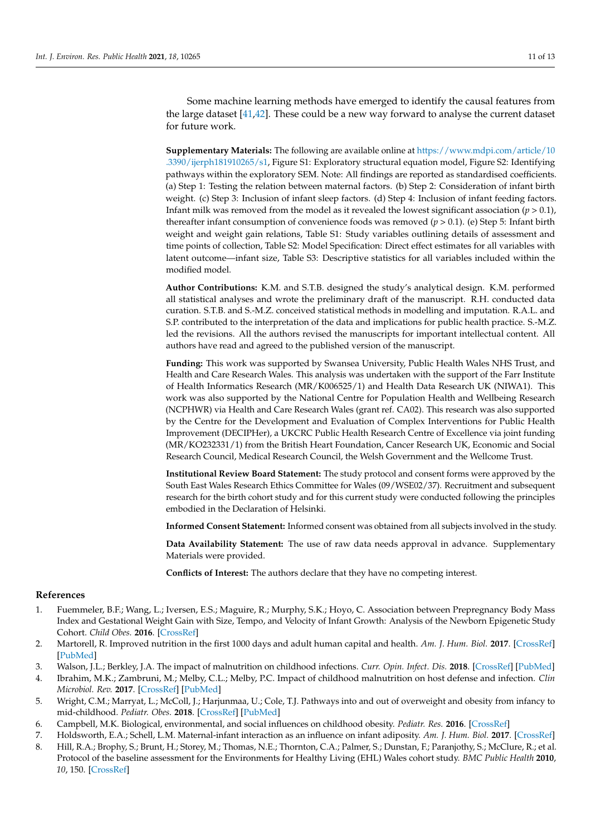Some machine learning methods have emerged to identify the causal features from the large dataset  $[41,42]$  $[41,42]$ . These could be a new way forward to analyse the current dataset for future work.

**Supplementary Materials:** The following are available online at [https://www.mdpi.com/article/10](https://www.mdpi.com/article/10.3390/ijerph181910265/s1) [.3390/ijerph181910265/s1,](https://www.mdpi.com/article/10.3390/ijerph181910265/s1) Figure S1: Exploratory structural equation model, Figure S2: Identifying pathways within the exploratory SEM. Note: All findings are reported as standardised coefficients. (a) Step 1: Testing the relation between maternal factors. (b) Step 2: Consideration of infant birth weight. (c) Step 3: Inclusion of infant sleep factors. (d) Step 4: Inclusion of infant feeding factors. Infant milk was removed from the model as it revealed the lowest significant association  $(p > 0.1)$ , thereafter infant consumption of convenience foods was removed (*p* > 0.1). (e) Step 5: Infant birth weight and weight gain relations, Table S1: Study variables outlining details of assessment and time points of collection, Table S2: Model Specification: Direct effect estimates for all variables with latent outcome—infant size, Table S3: Descriptive statistics for all variables included within the modified model.

**Author Contributions:** K.M. and S.T.B. designed the study's analytical design. K.M. performed all statistical analyses and wrote the preliminary draft of the manuscript. R.H. conducted data curation. S.T.B. and S.-M.Z. conceived statistical methods in modelling and imputation. R.A.L. and S.P. contributed to the interpretation of the data and implications for public health practice. S.-M.Z. led the revisions. All the authors revised the manuscripts for important intellectual content. All authors have read and agreed to the published version of the manuscript.

**Funding:** This work was supported by Swansea University, Public Health Wales NHS Trust, and Health and Care Research Wales. This analysis was undertaken with the support of the Farr Institute of Health Informatics Research (MR/K006525/1) and Health Data Research UK (NIWA1). This work was also supported by the National Centre for Population Health and Wellbeing Research (NCPHWR) via Health and Care Research Wales (grant ref. CA02). This research was also supported by the Centre for the Development and Evaluation of Complex Interventions for Public Health Improvement (DECIPHer), a UKCRC Public Health Research Centre of Excellence via joint funding (MR/KO232331/1) from the British Heart Foundation, Cancer Research UK, Economic and Social Research Council, Medical Research Council, the Welsh Government and the Wellcome Trust.

**Institutional Review Board Statement:** The study protocol and consent forms were approved by the South East Wales Research Ethics Committee for Wales (09/WSE02/37). Recruitment and subsequent research for the birth cohort study and for this current study were conducted following the principles embodied in the Declaration of Helsinki.

**Informed Consent Statement:** Informed consent was obtained from all subjects involved in the study.

**Data Availability Statement:** The use of raw data needs approval in advance. Supplementary Materials were provided.

**Conflicts of Interest:** The authors declare that they have no competing interest.

#### **References**

- <span id="page-10-0"></span>1. Fuemmeler, B.F.; Wang, L.; Iversen, E.S.; Maguire, R.; Murphy, S.K.; Hoyo, C. Association between Prepregnancy Body Mass Index and Gestational Weight Gain with Size, Tempo, and Velocity of Infant Growth: Analysis of the Newborn Epigenetic Study Cohort. *Child Obes.* **2016**. [\[CrossRef\]](http://doi.org/10.1089/chi.2015.0253)
- <span id="page-10-1"></span>2. Martorell, R. Improved nutrition in the first 1000 days and adult human capital and health. *Am. J. Hum. Biol.* **2017**. [\[CrossRef\]](http://doi.org/10.1002/ajhb.22952) [\[PubMed\]](http://www.ncbi.nlm.nih.gov/pubmed/28117514)
- <span id="page-10-2"></span>3. Walson, J.L.; Berkley, J.A. The impact of malnutrition on childhood infections. *Curr. Opin. Infect. Dis.* **2018**. [\[CrossRef\]](http://doi.org/10.1097/QCO.0000000000000448) [\[PubMed\]](http://www.ncbi.nlm.nih.gov/pubmed/29570495)
- <span id="page-10-3"></span>4. Ibrahim, M.K.; Zambruni, M.; Melby, C.L.; Melby, P.C. Impact of childhood malnutrition on host defense and infection. *Clin Microbiol. Rev.* **2017**. [\[CrossRef\]](http://doi.org/10.1128/CMR.00119-16) [\[PubMed\]](http://www.ncbi.nlm.nih.gov/pubmed/28768707)
- <span id="page-10-4"></span>5. Wright, C.M.; Marryat, L.; McColl, J.; Harjunmaa, U.; Cole, T.J. Pathways into and out of overweight and obesity from infancy to mid-childhood. *Pediatr. Obes.* **2018**. [\[CrossRef\]](http://doi.org/10.1111/ijpo.12427) [\[PubMed\]](http://www.ncbi.nlm.nih.gov/pubmed/29998577)
- <span id="page-10-6"></span>6. Campbell, M.K. Biological, environmental, and social influences on childhood obesity. *Pediatr. Res.* **2016**. [\[CrossRef\]](http://doi.org/10.1038/pr.2015.208)
- <span id="page-10-7"></span>7. Holdsworth, E.A.; Schell, L.M. Maternal-infant interaction as an influence on infant adiposity. *Am. J. Hum. Biol.* **2017**. [\[CrossRef\]](http://doi.org/10.1002/ajhb.23023)
- <span id="page-10-5"></span>8. Hill, R.A.; Brophy, S.; Brunt, H.; Storey, M.; Thomas, N.E.; Thornton, C.A.; Palmer, S.; Dunstan, F.; Paranjothy, S.; McClure, R.; et al. Protocol of the baseline assessment for the Environments for Healthy Living (EHL) Wales cohort study. *BMC Public Health* **2010**, *10*, 150. [\[CrossRef\]](http://doi.org/10.1186/1471-2458-10-150)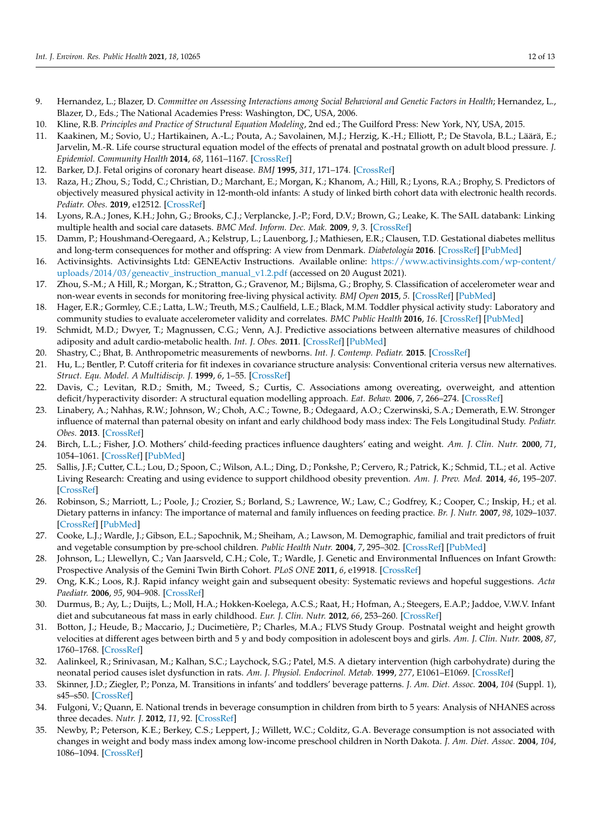- <span id="page-11-0"></span>9. Hernandez, L.; Blazer, D. *Committee on Assessing Interactions among Social Behavioral and Genetic Factors in Health*; Hernandez, L., Blazer, D., Eds.; The National Academies Press: Washington, DC, USA, 2006.
- <span id="page-11-2"></span>10. Kline, R.B. *Principles and Practice of Structural Equation Modeling*, 2nd ed.; The Guilford Press: New York, NY, USA, 2015.
- <span id="page-11-1"></span>11. Kaakinen, M.; Sovio, U.; Hartikainen, A.-L.; Pouta, A.; Savolainen, M.J.; Herzig, K.-H.; Elliott, P.; De Stavola, B.L.; Läärä, E.; Jarvelin, M.-R. Life course structural equation model of the effects of prenatal and postnatal growth on adult blood pressure. *J. Epidemiol. Community Health* **2014**, *68*, 1161–1167. [\[CrossRef\]](http://doi.org/10.1136/jech-2013-203661)
- <span id="page-11-3"></span>12. Barker, D.J. Fetal origins of coronary heart disease. *BMJ* **1995**, *311*, 171–174. [\[CrossRef\]](http://doi.org/10.1136/bmj.311.6998.171)
- <span id="page-11-4"></span>13. Raza, H.; Zhou, S.; Todd, C.; Christian, D.; Marchant, E.; Morgan, K.; Khanom, A.; Hill, R.; Lyons, R.A.; Brophy, S. Predictors of objectively measured physical activity in 12-month-old infants: A study of linked birth cohort data with electronic health records. *Pediatr. Obes.* **2019**, e12512. [\[CrossRef\]](http://doi.org/10.1111/ijpo.12512)
- <span id="page-11-5"></span>14. Lyons, R.A.; Jones, K.H.; John, G.; Brooks, C.J.; Verplancke, J.-P.; Ford, D.V.; Brown, G.; Leake, K. The SAIL databank: Linking multiple health and social care datasets. *BMC Med. Inform. Dec. Mak.* **2009**, *9*, 3. [\[CrossRef\]](http://doi.org/10.1186/1472-6947-9-3)
- <span id="page-11-6"></span>15. Damm, P.; Houshmand-Oeregaard, A.; Kelstrup, L.; Lauenborg, J.; Mathiesen, E.R.; Clausen, T.D. Gestational diabetes mellitus and long-term consequences for mother and offspring: A view from Denmark. *Diabetologia* **2016**. [\[CrossRef\]](http://doi.org/10.1007/s00125-016-3985-5) [\[PubMed\]](http://www.ncbi.nlm.nih.gov/pubmed/27174368)
- <span id="page-11-7"></span>16. Activinsights. Activinsights Ltd: GENEActiv Instructions. Available online: [https://www.activinsights.com/wp-content/](https://www.activinsights.com/wp-content/uploads/2014/03/geneactiv_instruction_manual_v1.2.pdf) [uploads/2014/03/geneactiv\\_instruction\\_manual\\_v1.2.pdf](https://www.activinsights.com/wp-content/uploads/2014/03/geneactiv_instruction_manual_v1.2.pdf) (accessed on 20 August 2021).
- <span id="page-11-8"></span>17. Zhou, S.-M.; A Hill, R.; Morgan, K.; Stratton, G.; Gravenor, M.; Bijlsma, G.; Brophy, S. Classification of accelerometer wear and non-wear events in seconds for monitoring free-living physical activity. *BMJ Open* **2015**, *5*. [\[CrossRef\]](http://doi.org/10.1136/bmjopen-2014-007447) [\[PubMed\]](http://www.ncbi.nlm.nih.gov/pubmed/25968000)
- <span id="page-11-9"></span>18. Hager, E.R.; Gormley, C.E.; Latta, L.W.; Treuth, M.S.; Caulfield, L.E.; Black, M.M. Toddler physical activity study: Laboratory and community studies to evaluate accelerometer validity and correlates. *BMC Public Health* **2016**, *16*. [\[CrossRef\]](http://doi.org/10.1186/s12889-016-3569-9) [\[PubMed\]](http://www.ncbi.nlm.nih.gov/pubmed/27600404)
- <span id="page-11-10"></span>19. Schmidt, M.D.; Dwyer, T.; Magnussen, C.G.; Venn, A.J. Predictive associations between alternative measures of childhood adiposity and adult cardio-metabolic health. *Int. J. Obes.* **2011**. [\[CrossRef\]](http://doi.org/10.1038/ijo.2010.205) [\[PubMed\]](http://www.ncbi.nlm.nih.gov/pubmed/20877285)
- <span id="page-11-11"></span>20. Shastry, C.; Bhat, B. Anthropometric measurements of newborns. *Int. J. Contemp. Pediatr.* **2015**. [\[CrossRef\]](http://doi.org/10.5455/2349-3291.ijcp20150505)
- <span id="page-11-12"></span>21. Hu, L.; Bentler, P. Cutoff criteria for fit indexes in covariance structure analysis: Conventional criteria versus new alternatives. *Struct. Equ. Model. A Multidiscip. J.* **1999**, *6*, 1–55. [\[CrossRef\]](http://doi.org/10.1080/10705519909540118)
- <span id="page-11-13"></span>22. Davis, C.; Levitan, R.D.; Smith, M.; Tweed, S.; Curtis, C. Associations among overeating, overweight, and attention deficit/hyperactivity disorder: A structural equation modelling approach. *Eat. Behav.* **2006**, *7*, 266–274. [\[CrossRef\]](http://doi.org/10.1016/j.eatbeh.2005.09.006)
- <span id="page-11-14"></span>23. Linabery, A.; Nahhas, R.W.; Johnson, W.; Choh, A.C.; Towne, B.; Odegaard, A.O.; Czerwinski, S.A.; Demerath, E.W. Stronger influence of maternal than paternal obesity on infant and early childhood body mass index: The Fels Longitudinal Study. *Pediatr. Obes.* **2013**. [\[CrossRef\]](http://doi.org/10.1111/j.2047-6310.2012.00100.x)
- <span id="page-11-15"></span>24. Birch, L.L.; Fisher, J.O. Mothers' child-feeding practices influence daughters' eating and weight. *Am. J. Clin. Nutr.* **2000**, *71*, 1054–1061. [\[CrossRef\]](http://doi.org/10.1093/ajcn/71.5.1054) [\[PubMed\]](http://www.ncbi.nlm.nih.gov/pubmed/10799366)
- <span id="page-11-16"></span>25. Sallis, J.F.; Cutter, C.L.; Lou, D.; Spoon, C.; Wilson, A.L.; Ding, D.; Ponkshe, P.; Cervero, R.; Patrick, K.; Schmid, T.L.; et al. Active Living Research: Creating and using evidence to support childhood obesity prevention. *Am. J. Prev. Med.* **2014**, *46*, 195–207. [\[CrossRef\]](http://doi.org/10.1016/j.amepre.2013.10.019)
- <span id="page-11-17"></span>26. Robinson, S.; Marriott, L.; Poole, J.; Crozier, S.; Borland, S.; Lawrence, W.; Law, C.; Godfrey, K.; Cooper, C.; Inskip, H.; et al. Dietary patterns in infancy: The importance of maternal and family influences on feeding practice. *Br. J. Nutr.* **2007**, *98*, 1029–1037. [\[CrossRef\]](http://doi.org/10.1017/S0007114507750936) [\[PubMed\]](http://www.ncbi.nlm.nih.gov/pubmed/17532867)
- <span id="page-11-18"></span>27. Cooke, L.J.; Wardle, J.; Gibson, E.L.; Sapochnik, M.; Sheiham, A.; Lawson, M. Demographic, familial and trait predictors of fruit and vegetable consumption by pre-school children. *Public Health Nutr.* **2004**, *7*, 295–302. [\[CrossRef\]](http://doi.org/10.1079/PHN2003527) [\[PubMed\]](http://www.ncbi.nlm.nih.gov/pubmed/15003137)
- <span id="page-11-19"></span>28. Johnson, L.; Llewellyn, C.; Van Jaarsveld, C.H.; Cole, T.; Wardle, J. Genetic and Environmental Influences on Infant Growth: Prospective Analysis of the Gemini Twin Birth Cohort. *PLoS ONE* **2011**, *6*, e19918. [\[CrossRef\]](http://doi.org/10.1371/journal.pone.0019918)
- <span id="page-11-20"></span>29. Ong, K.K.; Loos, R.J. Rapid infancy weight gain and subsequent obesity: Systematic reviews and hopeful suggestions. *Acta Paediatr.* **2006**, *95*, 904–908. [\[CrossRef\]](http://doi.org/10.1080/08035250600719754)
- <span id="page-11-21"></span>30. Durmus, B.; Ay, L.; Duijts, L.; Moll, H.A.; Hokken-Koelega, A.C.S.; Raat, H.; Hofman, A.; Steegers, E.A.P.; Jaddoe, V.W.V. Infant diet and subcutaneous fat mass in early childhood. *Eur. J. Clin. Nutr.* **2012**, *66*, 253–260. [\[CrossRef\]](http://doi.org/10.1038/ejcn.2011.174)
- <span id="page-11-22"></span>31. Botton, J.; Heude, B.; Maccario, J.; Ducimetière, P.; Charles, M.A.; FLVS Study Group. Postnatal weight and height growth velocities at different ages between birth and 5 y and body composition in adolescent boys and girls. *Am. J. Clin. Nutr.* **2008**, *87*, 1760–1768. [\[CrossRef\]](http://doi.org/10.1093/ajcn/87.6.1760)
- <span id="page-11-23"></span>32. Aalinkeel, R.; Srinivasan, M.; Kalhan, S.C.; Laychock, S.G.; Patel, M.S. A dietary intervention (high carbohydrate) during the neonatal period causes islet dysfunction in rats. *Am. J. Physiol. Endocrinol. Metab.* **1999**, *277*, E1061–E1069. [\[CrossRef\]](http://doi.org/10.1152/ajpendo.1999.277.6.E1061)
- <span id="page-11-24"></span>33. Skinner, J.D.; Ziegler, P.; Ponza, M. Transitions in infants' and toddlers' beverage patterns. *J. Am. Diet. Assoc.* **2004**, *104* (Suppl. 1), s45–s50. [\[CrossRef\]](http://doi.org/10.1016/j.jada.2003.10.027)
- <span id="page-11-25"></span>34. Fulgoni, V.; Quann, E. National trends in beverage consumption in children from birth to 5 years: Analysis of NHANES across three decades. *Nutr. J.* **2012**, *11*, 92. [\[CrossRef\]](http://doi.org/10.1186/1475-2891-11-92)
- <span id="page-11-26"></span>35. Newby, P.; Peterson, K.E.; Berkey, C.S.; Leppert, J.; Willett, W.C.; Colditz, G.A. Beverage consumption is not associated with changes in weight and body mass index among low-income preschool children in North Dakota. *J. Am. Diet. Assoc.* **2004**, *104*, 1086–1094. [\[CrossRef\]](http://doi.org/10.1016/j.jada.2004.04.020)